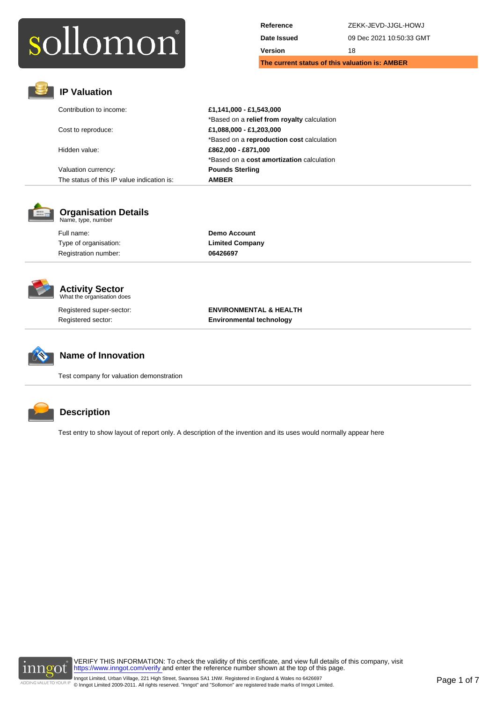| The current status of this valuation is: AMBER |                          |
|------------------------------------------------|--------------------------|
| Version                                        | 18                       |
| Date Issued                                    | 09 Dec 2021 10:50:33 GMT |
| Reference                                      | ZEKK-JEVD-JJGL-HOWJ      |



## **IP Valuation**

| Contribution to income:                    | £1,141,000 - £1,543,000                     |  |
|--------------------------------------------|---------------------------------------------|--|
|                                            | *Based on a relief from royalty calculation |  |
| Cost to reproduce:                         | £1,088,000 - £1,203,000                     |  |
|                                            | *Based on a reproduction cost calculation   |  |
| Hidden value:                              | £862,000 - £871,000                         |  |
|                                            | *Based on a cost amortization calculation   |  |
| Valuation currency:                        | <b>Pounds Sterling</b>                      |  |
| The status of this IP value indication is: | <b>AMBER</b>                                |  |



## **Organisation Details** Name, type, number

Full name: **Demo Account** Type of organisation: **Limited Company** Registration number: **06426697**



## **Activity Sector** What the organisation does

Registered super-sector: **ENVIRONMENTAL & HEALTH** Registered sector: **Environmental technology**



## **Name of Innovation**

Test company for valuation demonstration



## **Description**

Test entry to show layout of report only. A description of the invention and its uses would normally appear here

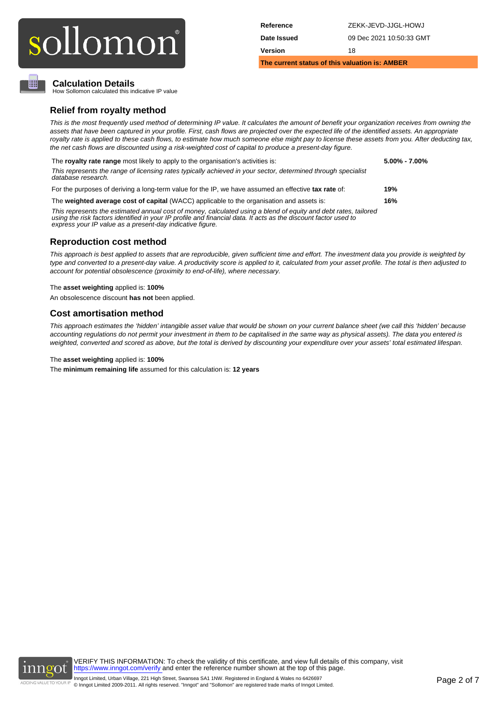| Reference                                      | ZEKK-JEVD-JJGL-HOWJ      |  |  |  |
|------------------------------------------------|--------------------------|--|--|--|
| Date Issued                                    | 09 Dec 2021 10:50:33 GMT |  |  |  |
| Version                                        | 18                       |  |  |  |
| The current status of this valuation is: AMBER |                          |  |  |  |

## **Calculation Details**

▥

How Sollomon calculated this indicative IP value

## **Relief from royalty method**

This is the most frequently used method of determining IP value. It calculates the amount of benefit your organization receives from owning the assets that have been captured in your profile. First, cash flows are projected over the expected life of the identified assets. An appropriate royalty rate is applied to these cash flows, to estimate how much someone else might pay to license these assets from you. After deducting tax, the net cash flows are discounted using a risk-weighted cost of capital to produce a present-day figure.

| The royalty rate range most likely to apply to the organisation's activities is:                                                    | $5.00\% - 7.00\%$ |
|-------------------------------------------------------------------------------------------------------------------------------------|-------------------|
| This represents the range of licensing rates typically achieved in your sector, determined through specialist<br>database research. |                   |
| For the purposes of deriving a long-term value for the IP, we have assumed an effective tax rate of:                                | 19%               |

The **weighted average cost of capital** (WACC) applicable to the organisation and assets is: **16%**

This represents the estimated annual cost of money, calculated using a blend of equity and debt rates, tailored using the risk factors identified in your IP profile and financial data. It acts as the discount factor used to express your IP value as a present-day indicative figure.

## **Reproduction cost method**

This approach is best applied to assets that are reproducible, given sufficient time and effort. The investment data you provide is weighted by type and converted to a present-day value. A productivity score is applied to it, calculated from your asset profile. The total is then adjusted to account for potential obsolescence (proximity to end-of-life), where necessary.

## The **asset weighting** applied is: **100%**

An obsolescence discount **has not** been applied.

## **Cost amortisation method**

This approach estimates the 'hidden' intangible asset value that would be shown on your current balance sheet (we call this 'hidden' because accounting regulations do not permit your investment in them to be capitalised in the same way as physical assets). The data you entered is weighted, converted and scored as above, but the total is derived by discounting your expenditure over your assets' total estimated lifespan.

## The **asset weighting** applied is: **100%**

The **minimum remaining life** assumed for this calculation is: **12 years**

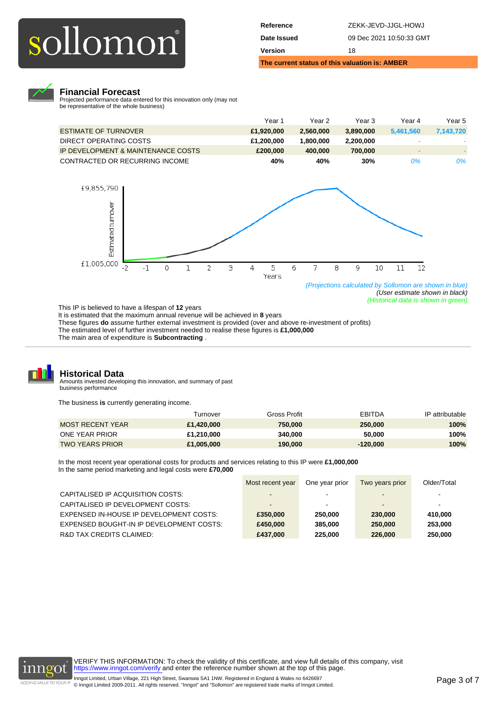| The current status of this valuation is: AMBER |                          |  |
|------------------------------------------------|--------------------------|--|
| Version                                        | 18                       |  |
| Date Issued                                    | 09 Dec 2021 10:50:33 GMT |  |
| Reference                                      | ZEKK-JEVD-JJGL-HOWJ      |  |



## **Financial Forecast**

Projected performance data entered for this innovation only (may not be representative of the whole business)

|                                    | Year 1     | Year 2    | Year 3    | Year 4    | Year 5    |
|------------------------------------|------------|-----------|-----------|-----------|-----------|
| <b>ESTIMATE OF TURNOVER</b>        | £1.920.000 | 2.560,000 | 3.890.000 | 5.461.560 | 7.143.720 |
| DIRECT OPERATING COSTS             | £1.200.000 | 800.000.١ | 2.200.000 |           |           |
| IP DEVELOPMENT & MAINTENANCE COSTS | £200,000   | 400,000   | 700,000   | $\sim$    | $-$       |
| CONTRACTED OR RECURRING INCOME     | 40%        | 40%       | 30%       | 0%        | 0%        |



(User estimate shown in black) (Historical data is shown in green)

This IP is believed to have a lifespan of **12** years

It is estimated that the maximum annual revenue will be achieved in 8 years These figures **do** assume further external investment is provided (over and above re-investment of profits) The estimated level of further investment needed to realise these figures is **£1,000,000** The main area of expenditure is **Subcontracting** .



## **Historical Data**

Amounts invested developing this innovation, and summary of past business performance

The business **is** currently generating income.

|                        | Turnover   | Gross Profit | <b>EBITDA</b> | IP attributable |
|------------------------|------------|--------------|---------------|-----------------|
| MOST RECENT YEAR       | £1.420.000 | 750,000      | 250,000       | 100%            |
| ONE YEAR PRIOR         | £1.210.000 | 340,000      | 50,000        | 100%            |
| <b>TWO YEARS PRIOR</b> | £1,005,000 | 190,000      | $-120.000$    | 100%            |

In the most recent year operational costs for products and services relating to this IP were **£1,000,000** In the same period marketing and legal costs were **£70,000**

|                                          | Most recent year | One year prior | Two years prior          | Older/Total |
|------------------------------------------|------------------|----------------|--------------------------|-------------|
| CAPITALISED IP ACQUISITION COSTS:        |                  |                |                          |             |
| CAPITALISED IP DEVELOPMENT COSTS:        |                  | -              | $\overline{\phantom{a}}$ |             |
| EXPENSED IN-HOUSE IP DEVELOPMENT COSTS:  | £350,000         | 250,000        | 230,000                  | 410.000     |
| EXPENSED BOUGHT-IN IP DEVELOPMENT COSTS: | £450,000         | 385.000        | 250,000                  | 253,000     |
| R&D TAX CREDITS CLAIMED:                 | £437,000         | 225,000        | 226,000                  | 250,000     |

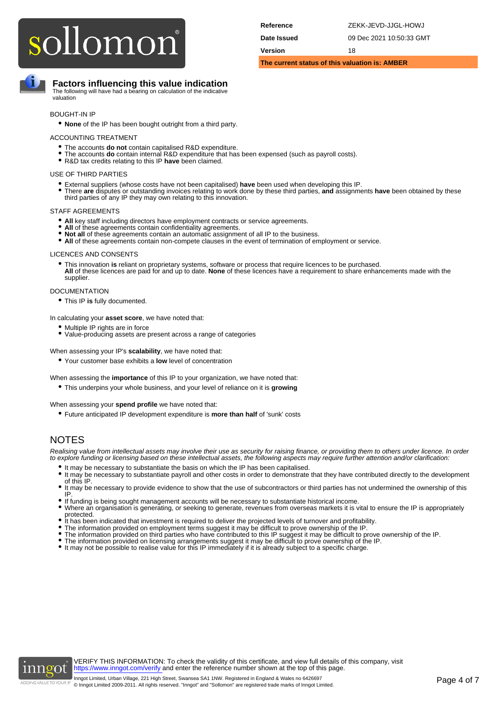| Reference                                      | ZEKK-JEVD-JJGL-HOWJ      |  |  |  |
|------------------------------------------------|--------------------------|--|--|--|
| Date Issued                                    | 09 Dec 2021 10:50:33 GMT |  |  |  |
| Version<br>18                                  |                          |  |  |  |
| The current status of this valuation is: AMBER |                          |  |  |  |

## **Factors influencing this value indication**

The following will have had a bearing on calculation of the indicative valuation

## BOUGHT-IN IP

• **None** of the IP has been bought outright from a third party.

## ACCOUNTING TREATMENT

- The accounts **do not** contain capitalised R&D expenditure.
- The accounts **do not** contain capitalised R&D expenditure that has been expensed (such as payroll costs). • R&D tax credits relating to this IP **have** been claimed.

## USE OF THIRD PARTIES

- 
- External suppliers (whose costs have not been capitalised) **have** been used when developing this IP.<br>■ There are disputes or outstanding invoices relating to work done by these third parties, and assignments have been o third parties of any IP they may own relating to this innovation. •

## STAFF AGREEMENTS

- All key staff including directors have employment contracts or service agreements.
- **All** of these agreements contain confidentiality agreements.
- **Not all** of these agreements contain an automatic assignment of all IP to the business.
- **All** of these agreements contain non-compete clauses in the event of termination of employment or service.

## LICENCES AND CONSENTS

• This innovation **is** reliant on proprietary systems, software or process that require licences to be purchased. **All** of these licences are paid for and up to date. **None** of these licences have a requirement to share enhancements made with the supplier.

## **DOCUMENTATION**

• This IP **is** fully documented.

In calculating your **asset score**, we have noted that:

- Multiple IP rights are in force
- Value-producing assets are present across a range of categories

## When assessing your IP's **scalability**, we have noted that:

• Your customer base exhibits a **low** level of concentration

When assessing the **importance** of this IP to your organization, we have noted that:

• This underpins your whole business, and your level of reliance on it is **growing**

## When assessing your **spend profile** we have noted that:

• Future anticipated IP development expenditure is **more than half** of 'sunk' costs

## NOTES

Realising value from intellectual assets may involve their use as security for raising finance, or providing them to others under licence. In order to explore funding or licensing based on these intellectual assets, the following aspects may require further attention and/or clarification:

- It may be necessary to substantiate the basis on which the IP has been capitalised.
- It may be necessary to substantiate the basis of which the in-has been capitalised.<br>• It may be necessary to substantiate payroll and other costs in order to demonstrate that they have contributed directly to the develop of this IP.
- It may be necessary to provide evidence to show that the use of subcontractors or third parties has not undermined the ownership of this IP.
- 
- If funding is being sought management accounts will be necessary to substantiate historical income.<br>● Where an organisation is generating, or seeking to generate, revenues from overseas markets it is vital to ensure the protected. •
- It has been indicated that investment is required to deliver the projected levels of turnover and profitability.
- The information provided on employment terms suggest it may be difficult to prove ownership of the IP.
- The information provided on employment terms suggest it may be difficult to prove ownership of the IP.<br>• The information provided on third parties who have contributed to this IP suggest it may be difficult to prove owne
- The information provided on licensing arrangements suggest it may be difficult to prove ownership of the IP.
- It may not be possible to realise value for this IP immediately if it is already subject to a specific charge.

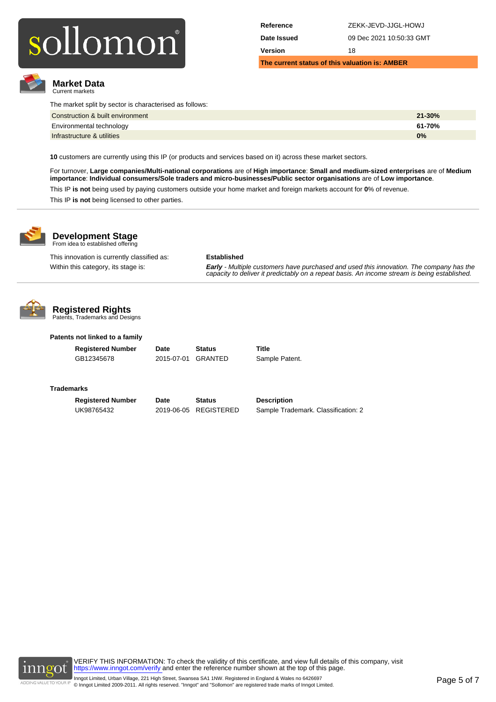

**Market Data** Current markets

| Reference                                      | ZEKK-JEVD-JJGL-HOWJ      |  |  |
|------------------------------------------------|--------------------------|--|--|
| Date Issued                                    | 09 Dec 2021 10:50:33 GMT |  |  |
| Version                                        | 18                       |  |  |
| The current status of this valuation is: AMBER |                          |  |  |

| Construction & built environment | $21 - 30%$ |
|----------------------------------|------------|
| Environmental technology         | 61-70%     |
| Infrastructure & utilities       | 0%         |

**10** customers are currently using this IP (or products and services based on it) across these market sectors.

For turnover, **Large companies/Multi-national corporations** are of **High importance**: **Small and medium-sized enterprises** are of **Medium importance**: **Individual consumers/Sole traders and micro-businesses/Public sector organisations** are of **Low importance**.

This IP **is not** being used by paying customers outside your home market and foreign markets account for **0**% of revenue. This IP **is not** being licensed to other parties.



## **Development Stage**<br>From idea to established offering

This innovation is currently classified as: **Established**

Within this category, its stage is: **Early - Multiple customers have purchased and used this innovation. The company has the**<br>capacity to deliver it predictably on a repeat basis. An income stream is being established.



## **Registered Rights**

Patents, Trademarks and Designs

## **Patents not linked to a family**

GB12345678 2015-07-01 GRANTED Sample Patent.

**Registered Number Date Status Title**

## **Trademarks**

**Registered Number Date Status Description**

UK98765432 2019-06-05 REGISTERED Sample Trademark. Classification: 2

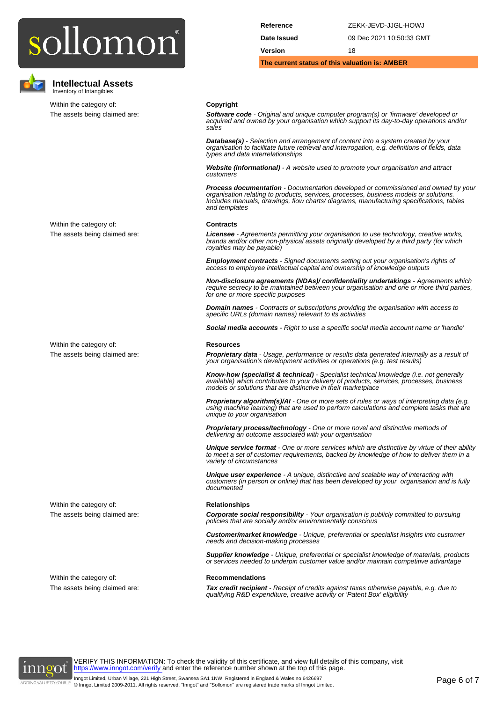

**Intellectual Assets** Inventory of Intangibles

Within the category of: **Copyright** 

| Reference                                      | ZEKK-JEVD-JJGL-HOWJ      |
|------------------------------------------------|--------------------------|
| Date Issued                                    | 09 Dec 2021 10:50:33 GMT |
| Version                                        | 18                       |
| The current status of this valuation is: AMBER |                          |

The assets being claimed are: **Software code** - Original and unique computer program(s) or 'firmware' developed or acquired and owned by your organisation which support its day-to-day operations and/or sales

> **Database(s)** - Selection and arrangement of content into a system created by your organisation to facilitate future retrieval and interrogation, e.g. definitions of fields, data types and data interrelationships

**Website (informational)** - A website used to promote your organisation and attract customers

**Process documentation** - Documentation developed or commissioned and owned by your organisation relating to products, services, processes, business models or solutions. Includes manuals, drawings, flow charts/ diagrams, manufacturing specifications, tables and templates

## Within the category of: **Contracts**

The assets being claimed are: **Licensee** - Agreements permitting your organisation to use technology, creative works,<br>brands and/or other non-physical assets originally developed by a third party (for which royalties may be payable)

> **Employment contracts** - Signed documents setting out your organisation's rights of access to employee intellectual capital and ownership of knowledge outputs

**Non-disclosure agreements (NDAs)/ confidentiality undertakings** - Agreements which require secrecy to be maintained between your organisation and one or more third parties, for one or more specific purposes

**Domain names** - Contracts or subscriptions providing the organisation with access to specific URLs (domain names) relevant to its activities

**Social media accounts** - Right to use a specific social media account name or 'handle'

### Within the category of: **Resources**

The assets being claimed are: **Proprietary data** - Usage, performance or results data generated internally as a result of your organisation's development activities or operations (e.g. test results)

> **Know-how (specialist & technical)** - Specialist technical knowledge (i.e. not generally available) which contributes to your delivery of products, services, processes, business models or solutions that are distinctive in their marketplace

**Proprietary algorithm(s)/AI** - One or more sets of rules or ways of interpreting data (e.g. using machine learning) that are used to perform calculations and complete tasks that are unique to your organisation

**Proprietary process/technology** - One or more novel and distinctive methods of delivering an outcome associated with your organisation

**Unique service format** - One or more services which are distinctive by virtue of their ability to meet a set of customer requirements, backed by knowledge of how to deliver them in a variety of circumstances

**Unique user experience** - A unique, distinctive and scalable way of interacting with customers (in person or online) that has been developed by your organisation and is fully documented

## Within the category of: **Relationships**

The assets being claimed are: **Corporate social responsibility** - Your organisation is publicly committed to pursuing policies that are socially and/or environmentally conscious

> **Customer/market knowledge** - Unique, preferential or specialist insights into customer needs and decision-making processes

**Supplier knowledge** - Unique, preferential or specialist knowledge of materials, products or services needed to underpin customer value and/or maintain competitive advantage

Within the category of: **Recommendations** 

The assets being claimed are: **Tax credit recipient** - Receipt of credits against taxes otherwise payable, e.g. due to qualifying R&D expenditure, creative activity or 'Patent Box' eligibility